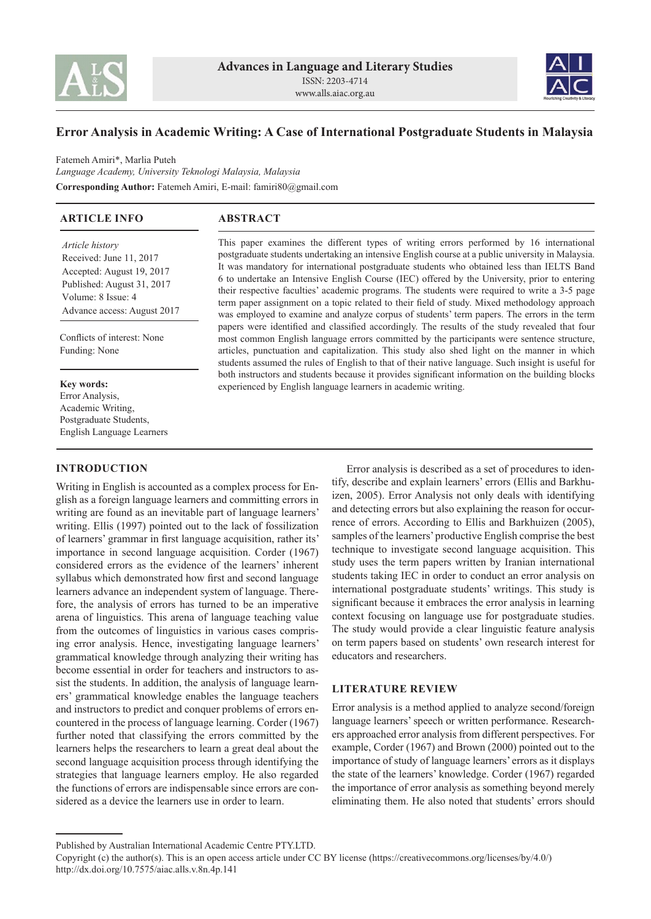



# **Error Analysis in Academic Writing: A Case of International Postgraduate Students in Malaysia**

Fatemeh Amiri\*, Marlia Puteh *Language Academy, University Teknologi Malaysia, Malaysia* **Corresponding Author:** Fatemeh Amiri, E-mail: famiri80@gmail.com

| <b>ARTICLE INFO</b>                                                                                                                                        | <b>ABSTRACT</b>                                                                                                                                                                                                                                                                                                                                                                                                                                                                                                                                                                                                                                                                             |  |
|------------------------------------------------------------------------------------------------------------------------------------------------------------|---------------------------------------------------------------------------------------------------------------------------------------------------------------------------------------------------------------------------------------------------------------------------------------------------------------------------------------------------------------------------------------------------------------------------------------------------------------------------------------------------------------------------------------------------------------------------------------------------------------------------------------------------------------------------------------------|--|
| Article history<br>Received: June 11, 2017<br>Accepted: August 19, 2017<br>Published: August 31, 2017<br>Volume: 8 Issue: 4<br>Advance access: August 2017 | This paper examines the different types of writing errors performed by 16 international<br>postgraduate students undertaking an intensive English course at a public university in Malaysia.<br>It was mandatory for international postgraduate students who obtained less than IELTS Band<br>6 to undertake an Intensive English Course (IEC) offered by the University, prior to entering<br>their respective faculties' academic programs. The students were required to write a 3-5 page<br>term paper assignment on a topic related to their field of study. Mixed methodology approach<br>was employed to examine and analyze corpus of students' term papers. The errors in the term |  |
| Conflicts of interest: None<br>Funding: None                                                                                                               | papers were identified and classified accordingly. The results of the study revealed that four<br>most common English language errors committed by the participants were sentence structure,<br>articles, punctuation and capitalization. This study also shed light on the manner in which<br>students assumed the rules of English to that of their native language. Such insight is useful for                                                                                                                                                                                                                                                                                           |  |
| <b>Key words:</b><br>Error Analysis,<br>Academic Writing.                                                                                                  | both instructors and students because it provides significant information on the building blocks<br>experienced by English language learners in academic writing.                                                                                                                                                                                                                                                                                                                                                                                                                                                                                                                           |  |

**INTRODUCTION**

Postgraduate Students, English Language Learners

Writing in English is accounted as a complex process for English as a foreign language learners and committing errors in writing are found as an inevitable part of language learners' writing. Ellis (1997) pointed out to the lack of fossilization of learners' grammar in first language acquisition, rather its' importance in second language acquisition. Corder (1967) considered errors as the evidence of the learners' inherent syllabus which demonstrated how first and second language learners advance an independent system of language. Therefore, the analysis of errors has turned to be an imperative arena of linguistics. This arena of language teaching value from the outcomes of linguistics in various cases comprising error analysis. Hence, investigating language learners' grammatical knowledge through analyzing their writing has become essential in order for teachers and instructors to assist the students. In addition, the analysis of language learners' grammatical knowledge enables the language teachers and instructors to predict and conquer problems of errors encountered in the process of language learning. Corder (1967) further noted that classifying the errors committed by the learners helps the researchers to learn a great deal about the second language acquisition process through identifying the strategies that language learners employ. He also regarded the functions of errors are indispensable since errors are considered as a device the learners use in order to learn.

Error analysis is described as a set of procedures to identify, describe and explain learners' errors (Ellis and Barkhuizen, 2005). Error Analysis not only deals with identifying and detecting errors but also explaining the reason for occurrence of errors. According to Ellis and Barkhuizen (2005), samples of the learners' productive English comprise the best technique to investigate second language acquisition. This study uses the term papers written by Iranian international students taking IEC in order to conduct an error analysis on international postgraduate students' writings. This study is significant because it embraces the error analysis in learning context focusing on language use for postgraduate studies. The study would provide a clear linguistic feature analysis on term papers based on students' own research interest for educators and researchers.

# **LITERATURE REVIEW**

Error analysis is a method applied to analyze second/foreign language learners' speech or written performance. Researchers approached error analysis from different perspectives. For example, Corder (1967) and Brown (2000) pointed out to the importance of study of language learners' errors as it displays the state of the learners' knowledge. Corder (1967) regarded the importance of error analysis as something beyond merely eliminating them. He also noted that students' errors should

Published by Australian International Academic Centre PTY.LTD.

Copyright (c) the author(s). This is an open access article under CC BY license (https://creativecommons.org/licenses/by/4.0/) http://dx.doi.org/10.7575/aiac.alls.v.8n.4p.141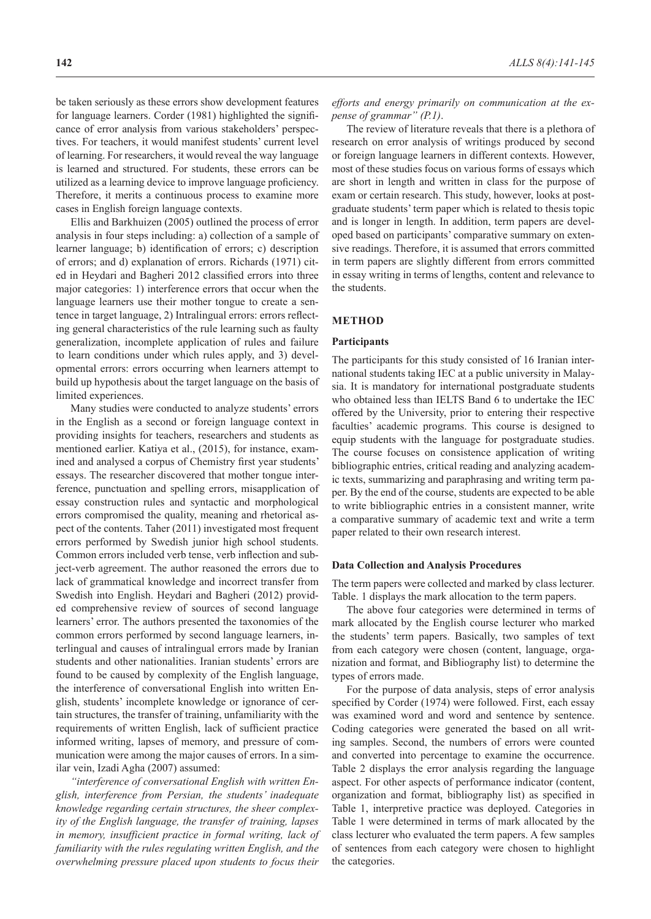be taken seriously as these errors show development features for language learners. Corder (1981) highlighted the significance of error analysis from various stakeholders' perspectives. For teachers, it would manifest students' current level of learning. For researchers, it would reveal the way language is learned and structured. For students, these errors can be utilized as a learning device to improve language proficiency. Therefore, it merits a continuous process to examine more cases in English foreign language contexts.

Ellis and Barkhuizen (2005) outlined the process of error analysis in four steps including: a) collection of a sample of learner language; b) identification of errors; c) description of errors; and d) explanation of errors. Richards (1971) cited in Heydari and Bagheri 2012 classified errors into three major categories: 1) interference errors that occur when the language learners use their mother tongue to create a sentence in target language, 2) Intralingual errors: errors reflecting general characteristics of the rule learning such as faulty generalization, incomplete application of rules and failure to learn conditions under which rules apply, and 3) developmental errors: errors occurring when learners attempt to build up hypothesis about the target language on the basis of limited experiences.

Many studies were conducted to analyze students' errors in the English as a second or foreign language context in providing insights for teachers, researchers and students as mentioned earlier. Katiya et al., (2015), for instance, examined and analysed a corpus of Chemistry first year students' essays. The researcher discovered that mother tongue interference, punctuation and spelling errors, misapplication of essay construction rules and syntactic and morphological errors compromised the quality, meaning and rhetorical aspect of the contents. Taher (2011) investigated most frequent errors performed by Swedish junior high school students. Common errors included verb tense, verb inflection and subject-verb agreement. The author reasoned the errors due to lack of grammatical knowledge and incorrect transfer from Swedish into English. Heydari and Bagheri (2012) provided comprehensive review of sources of second language learners' error. The authors presented the taxonomies of the common errors performed by second language learners, interlingual and causes of intralingual errors made by Iranian students and other nationalities. Iranian students' errors are found to be caused by complexity of the English language, the interference of conversational English into written English, students' incomplete knowledge or ignorance of certain structures, the transfer of training, unfamiliarity with the requirements of written English, lack of sufficient practice informed writing, lapses of memory, and pressure of communication were among the major causes of errors. In a similar vein, Izadi Agha (2007) assumed:

*"interference of conversational English with written English, interference from Persian, the students' inadequate knowledge regarding certain structures, the sheer complexity of the English language, the transfer of training, lapses in memory, insufficient practice in formal writing, lack of familiarity with the rules regulating written English, and the overwhelming pressure placed upon students to focus their* 

*efforts and energy primarily on communication at the expense of grammar" (P.1)*.

The review of literature reveals that there is a plethora of research on error analysis of writings produced by second or foreign language learners in different contexts. However, most of these studies focus on various forms of essays which are short in length and written in class for the purpose of exam or certain research. This study, however, looks at postgraduate students' term paper which is related to thesis topic and is longer in length. In addition, term papers are developed based on participants' comparative summary on extensive readings. Therefore, it is assumed that errors committed in term papers are slightly different from errors committed in essay writing in terms of lengths, content and relevance to the students.

## **METHOD**

#### **Participants**

The participants for this study consisted of 16 Iranian international students taking IEC at a public university in Malaysia. It is mandatory for international postgraduate students who obtained less than IELTS Band 6 to undertake the IEC offered by the University, prior to entering their respective faculties' academic programs. This course is designed to equip students with the language for postgraduate studies. The course focuses on consistence application of writing bibliographic entries, critical reading and analyzing academic texts, summarizing and paraphrasing and writing term paper. By the end of the course, students are expected to be able to write bibliographic entries in a consistent manner, write a comparative summary of academic text and write a term paper related to their own research interest.

#### **Data Collection and Analysis Procedures**

The term papers were collected and marked by class lecturer. Table. 1 displays the mark allocation to the term papers.

The above four categories were determined in terms of mark allocated by the English course lecturer who marked the students' term papers. Basically, two samples of text from each category were chosen (content, language, organization and format, and Bibliography list) to determine the types of errors made.

For the purpose of data analysis, steps of error analysis specified by Corder (1974) were followed. First, each essay was examined word and word and sentence by sentence. Coding categories were generated the based on all writing samples. Second, the numbers of errors were counted and converted into percentage to examine the occurrence. Table 2 displays the error analysis regarding the language aspect. For other aspects of performance indicator (content, organization and format, bibliography list) as specified in Table 1, interpretive practice was deployed. Categories in Table 1 were determined in terms of mark allocated by the class lecturer who evaluated the term papers. A few samples of sentences from each category were chosen to highlight the categories.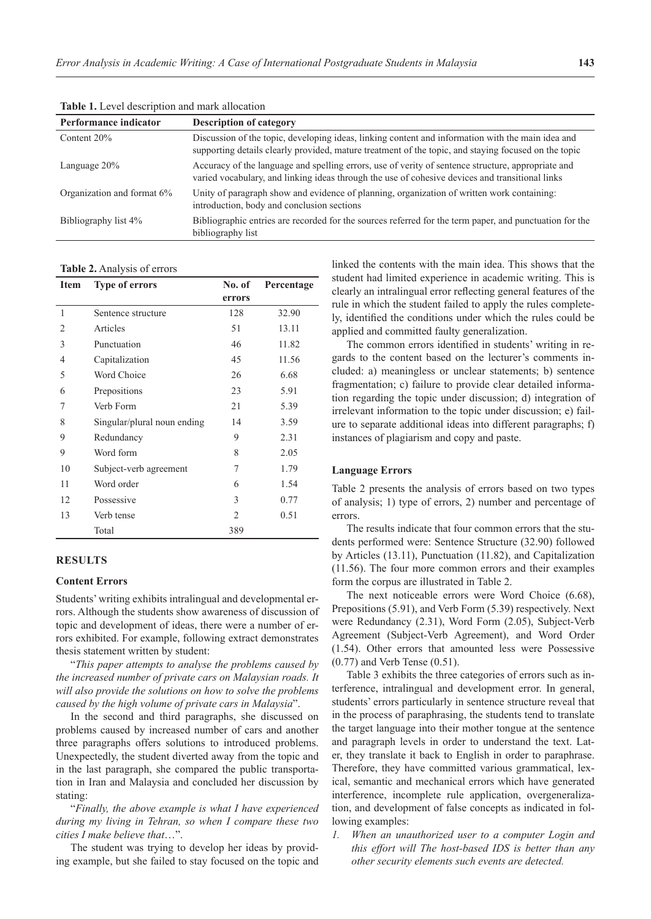| Performance indicator      | <b>Description of category</b>                                                                                                                                                                            |
|----------------------------|-----------------------------------------------------------------------------------------------------------------------------------------------------------------------------------------------------------|
| Content 20%                | Discussion of the topic, developing ideas, linking content and information with the main idea and<br>supporting details clearly provided, mature treatment of the topic, and staying focused on the topic |
| Language $20\%$            | Accuracy of the language and spelling errors, use of verity of sentence structure, appropriate and<br>varied vocabulary, and linking ideas through the use of cohesive devices and transitional links     |
| Organization and format 6% | Unity of paragraph show and evidence of planning, organization of written work containing:<br>introduction, body and conclusion sections                                                                  |
| Bibliography list 4%       | Bibliographic entries are recorded for the sources referred for the term paper, and punctuation for the<br>bibliography list                                                                              |

**Table 1.** Level description and mark allocation

#### **Table 2.** Analysis of errors

| Item           | <b>Type of errors</b>       | No. of<br>errors | Percentage |
|----------------|-----------------------------|------------------|------------|
| 1              | Sentence structure          | 128              | 32.90      |
| $\overline{2}$ | Articles                    | 51               | 13.11      |
| 3              | Punctuation                 | 46               | 11.82      |
| $\overline{4}$ | Capitalization              | 45               | 11.56      |
| 5              | Word Choice                 | 26               | 6.68       |
| 6              | Prepositions                | 23               | 5.91       |
| 7              | Verb Form                   | 21               | 5.39       |
| 8              | Singular/plural noun ending | 14               | 3.59       |
| 9              | Redundancy                  | 9                | 2.31       |
| 9              | Word form                   | 8                | 2.05       |
| 10             | Subject-verb agreement      | 7                | 1.79       |
| 11             | Word order                  | 6                | 1.54       |
| 12             | Possessive                  | 3                | 0.77       |
| 13             | Verb tense                  | 2                | 0.51       |
|                | Total                       | 389              |            |

#### **RESULTS**

## **Content Errors**

Students' writing exhibits intralingual and developmental errors. Although the students show awareness of discussion of topic and development of ideas, there were a number of errors exhibited. For example, following extract demonstrates thesis statement written by student:

"*This paper attempts to analyse the problems caused by the increased number of private cars on Malaysian roads. It will also provide the solutions on how to solve the problems caused by the high volume of private cars in Malaysia*".

In the second and third paragraphs, she discussed on problems caused by increased number of cars and another three paragraphs offers solutions to introduced problems. Unexpectedly, the student diverted away from the topic and in the last paragraph, she compared the public transportation in Iran and Malaysia and concluded her discussion by stating:

"*Finally, the above example is what I have experienced during my living in Tehran, so when I compare these two cities I make believe that*…".

The student was trying to develop her ideas by providing example, but she failed to stay focused on the topic and

linked the contents with the main idea. This shows that the student had limited experience in academic writing. This is clearly an intralingual error reflecting general features of the rule in which the student failed to apply the rules completely, identified the conditions under which the rules could be applied and committed faulty generalization.

The common errors identified in students' writing in regards to the content based on the lecturer's comments included: a) meaningless or unclear statements; b) sentence fragmentation; c) failure to provide clear detailed information regarding the topic under discussion; d) integration of irrelevant information to the topic under discussion; e) failure to separate additional ideas into different paragraphs; f) instances of plagiarism and copy and paste.

## **Language Errors**

Table 2 presents the analysis of errors based on two types of analysis; 1) type of errors, 2) number and percentage of errors.

The results indicate that four common errors that the students performed were: Sentence Structure (32.90) followed by Articles (13.11), Punctuation (11.82), and Capitalization (11.56). The four more common errors and their examples form the corpus are illustrated in Table 2.

The next noticeable errors were Word Choice (6.68), Prepositions (5.91), and Verb Form (5.39) respectively. Next were Redundancy (2.31), Word Form (2.05), Subject-Verb Agreement (Subject-Verb Agreement), and Word Order (1.54). Other errors that amounted less were Possessive (0.77) and Verb Tense (0.51).

Table 3 exhibits the three categories of errors such as interference, intralingual and development error. In general, students' errors particularly in sentence structure reveal that in the process of paraphrasing, the students tend to translate the target language into their mother tongue at the sentence and paragraph levels in order to understand the text. Later, they translate it back to English in order to paraphrase. Therefore, they have committed various grammatical, lexical, semantic and mechanical errors which have generated interference, incomplete rule application, overgeneralization, and development of false concepts as indicated in following examples:

*1. When an unauthorized user to a computer Login and this effort will The host-based IDS is better than any other security elements such events are detected.*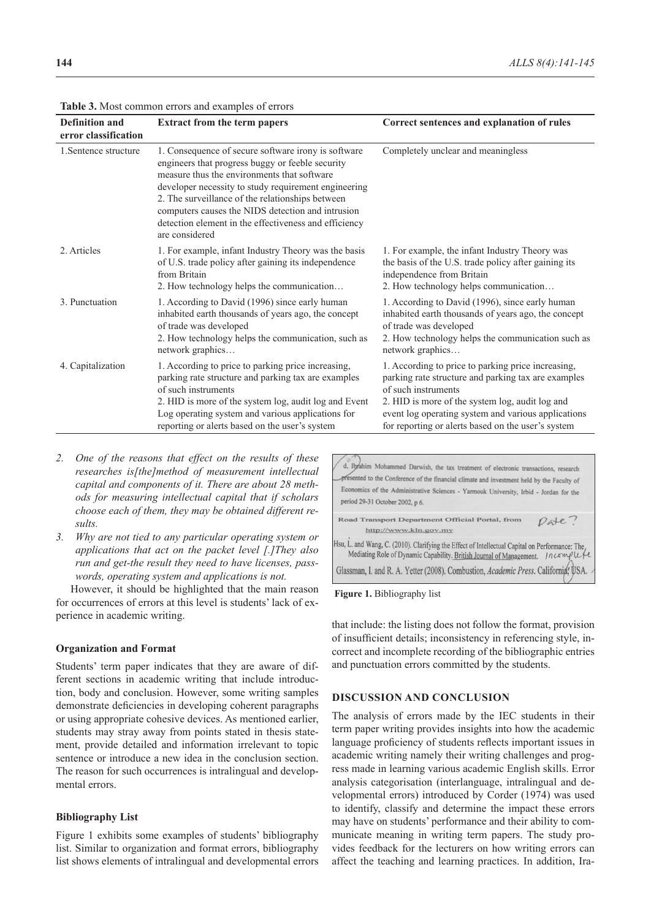| <b>Definition and</b><br>error classification | <b>Extract from the term papers</b>                                                                                                                                                                                                                                                                                                                                                                | Correct sentences and explanation of rules                                                                                                                                                                                                                                                       |
|-----------------------------------------------|----------------------------------------------------------------------------------------------------------------------------------------------------------------------------------------------------------------------------------------------------------------------------------------------------------------------------------------------------------------------------------------------------|--------------------------------------------------------------------------------------------------------------------------------------------------------------------------------------------------------------------------------------------------------------------------------------------------|
| 1. Sentence structure                         | 1. Consequence of secure software irony is software<br>engineers that progress buggy or feeble security<br>measure thus the environments that software<br>developer necessity to study requirement engineering<br>2. The surveillance of the relationships between<br>computers causes the NIDS detection and intrusion<br>detection element in the effectiveness and efficiency<br>are considered | Completely unclear and meaningless                                                                                                                                                                                                                                                               |
| 2. Articles                                   | 1. For example, infant Industry Theory was the basis<br>of U.S. trade policy after gaining its independence<br>from Britain<br>2. How technology helps the communication                                                                                                                                                                                                                           | 1. For example, the infant Industry Theory was<br>the basis of the U.S. trade policy after gaining its<br>independence from Britain<br>2. How technology helps communication                                                                                                                     |
| 3. Punctuation                                | 1. According to David (1996) since early human<br>inhabited earth thousands of years ago, the concept<br>of trade was developed<br>2. How technology helps the communication, such as<br>network graphics                                                                                                                                                                                          | 1. According to David (1996), since early human<br>inhabited earth thousands of years ago, the concept<br>of trade was developed<br>2. How technology helps the communication such as<br>network graphics                                                                                        |
| 4. Capitalization                             | 1. According to price to parking price increasing,<br>parking rate structure and parking tax are examples<br>of such instruments<br>2. HID is more of the system log, audit log and Event<br>Log operating system and various applications for<br>reporting or alerts based on the user's system                                                                                                   | 1. According to price to parking price increasing,<br>parking rate structure and parking tax are examples<br>of such instruments<br>2. HID is more of the system log, audit log and<br>event log operating system and various applications<br>for reporting or alerts based on the user's system |

**Table 3.** Most common errors and examples of errors

- *2. One of the reasons that effect on the results of these researches is[the]method of measurement intellectual capital and components of it. There are about 28 methods for measuring intellectual capital that if scholars choose each of them, they may be obtained different results.*
- *3. Why are not tied to any particular operating system or applications that act on the packet level [.]They also run and get-the result they need to have licenses, passwords, operating system and applications is not.*

However, it should be highlighted that the main reason for occurrences of errors at this level is students' lack of experience in academic writing.

#### **Organization and Format**

Students' term paper indicates that they are aware of different sections in academic writing that include introduction, body and conclusion. However, some writing samples demonstrate deficiencies in developing coherent paragraphs or using appropriate cohesive devices. As mentioned earlier, students may stray away from points stated in thesis statement, provide detailed and information irrelevant to topic sentence or introduce a new idea in the conclusion section. The reason for such occurrences is intralingual and developmental errors.

## **Bibliography List**

Figure 1 exhibits some examples of students' bibliography list. Similar to organization and format errors, bibliography list shows elements of intralingual and developmental errors



 **Figure 1.** Bibliography list

that include: the listing does not follow the format, provision of insufficient details; inconsistency in referencing style, incorrect and incomplete recording of the bibliographic entries and punctuation errors committed by the students.

## **DISCUSSION AND CONCLUSION**

The analysis of errors made by the IEC students in their term paper writing provides insights into how the academic language proficiency of students reflects important issues in academic writing namely their writing challenges and progress made in learning various academic English skills. Error analysis categorisation (interlanguage, intralingual and developmental errors) introduced by Corder (1974) was used to identify, classify and determine the impact these errors may have on students' performance and their ability to communicate meaning in writing term papers. The study provides feedback for the lecturers on how writing errors can affect the teaching and learning practices. In addition, Ira